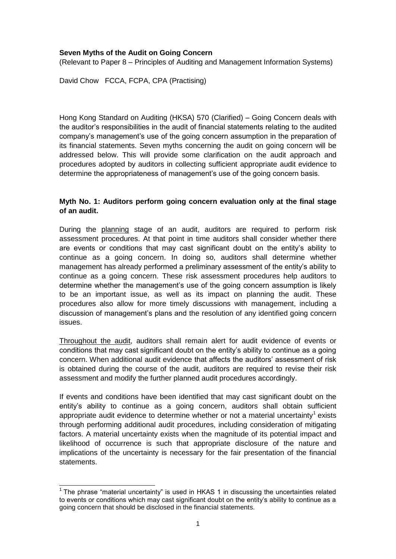## **Seven Myths of the Audit on Going Concern**

(Relevant to Paper 8 – Principles of Auditing and Management Information Systems)

David Chow FCCA, FCPA, CPA (Practising)

Hong Kong Standard on Auditing (HKSA) 570 (Clarified) – Going Concern deals with the auditor's responsibilities in the audit of financial statements relating to the audited company's management's use of the going concern assumption in the preparation of its financial statements. Seven myths concerning the audit on going concern will be addressed below. This will provide some clarification on the audit approach and procedures adopted by auditors in collecting sufficient appropriate audit evidence to determine the appropriateness of management's use of the going concern basis.

#### **Myth No. 1: Auditors perform going concern evaluation only at the final stage of an audit.**

During the planning stage of an audit, auditors are required to perform risk assessment procedures. At that point in time auditors shall consider whether there are events or conditions that may cast significant doubt on the entity's ability to continue as a going concern. In doing so, auditors shall determine whether management has already performed a preliminary assessment of the entity's ability to continue as a going concern. These risk assessment procedures help auditors to determine whether the management's use of the going concern assumption is likely to be an important issue, as well as its impact on planning the audit. These procedures also allow for more timely discussions with management, including a discussion of management's plans and the resolution of any identified going concern issues.

Throughout the audit, auditors shall remain alert for audit evidence of events or conditions that may cast significant doubt on the entity's ability to continue as a going concern. When additional audit evidence that affects the auditors' assessment of risk is obtained during the course of the audit, auditors are required to revise their risk assessment and modify the further planned audit procedures accordingly.

If events and conditions have been identified that may cast significant doubt on the entity's ability to continue as a going concern, auditors shall obtain sufficient appropriate audit evidence to determine whether or not a material uncertainty<sup>1</sup> exists through performing additional audit procedures, including consideration of mitigating factors. A material uncertainty exists when the magnitude of its potential impact and likelihood of occurrence is such that appropriate disclosure of the nature and implications of the uncertainty is necessary for the fair presentation of the financial statements.

 $\overline{a}$ <sup>1</sup> The phrase "material uncertainty" is used in HKAS 1 in discussing the uncertainties related to events or conditions which may cast significant doubt on the entity's ability to continue as a going concern that should be disclosed in the financial statements.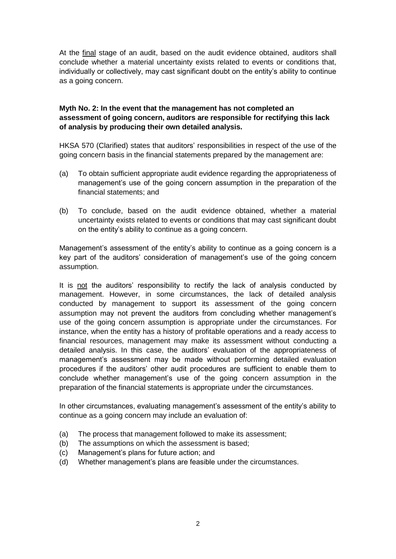At the final stage of an audit, based on the audit evidence obtained, auditors shall conclude whether a material uncertainty exists related to events or conditions that, individually or collectively, may cast significant doubt on the entity's ability to continue as a going concern.

#### **Myth No. 2: In the event that the management has not completed an assessment of going concern, auditors are responsible for rectifying this lack of analysis by producing their own detailed analysis.**

HKSA 570 (Clarified) states that auditors' responsibilities in respect of the use of the going concern basis in the financial statements prepared by the management are:

- (a) To obtain sufficient appropriate audit evidence regarding the appropriateness of management's use of the going concern assumption in the preparation of the financial statements; and
- (b) To conclude, based on the audit evidence obtained, whether a material uncertainty exists related to events or conditions that may cast significant doubt on the entity's ability to continue as a going concern.

Management's assessment of the entity's ability to continue as a going concern is a key part of the auditors' consideration of management's use of the going concern assumption.

It is not the auditors' responsibility to rectify the lack of analysis conducted by management. However, in some circumstances, the lack of detailed analysis conducted by management to support its assessment of the going concern assumption may not prevent the auditors from concluding whether management's use of the going concern assumption is appropriate under the circumstances. For instance, when the entity has a history of profitable operations and a ready access to financial resources, management may make its assessment without conducting a detailed analysis. In this case, the auditors' evaluation of the appropriateness of management's assessment may be made without performing detailed evaluation procedures if the auditors' other audit procedures are sufficient to enable them to conclude whether management's use of the going concern assumption in the preparation of the financial statements is appropriate under the circumstances.

In other circumstances, evaluating management's assessment of the entity's ability to continue as a going concern may include an evaluation of:

- (a) The process that management followed to make its assessment;
- (b) The assumptions on which the assessment is based;
- (c) Management's plans for future action; and
- (d) Whether management's plans are feasible under the circumstances.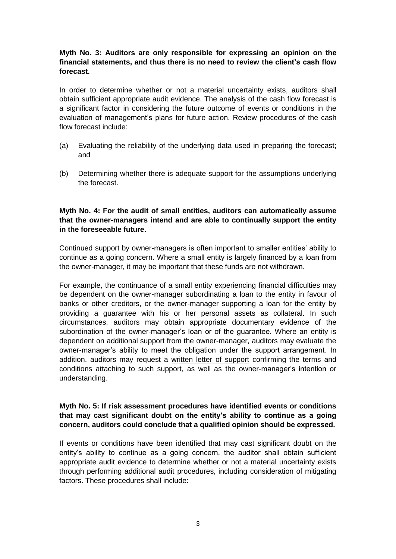## **Myth No. 3: Auditors are only responsible for expressing an opinion on the financial statements, and thus there is no need to review the client's cash flow forecast.**

In order to determine whether or not a material uncertainty exists, auditors shall obtain sufficient appropriate audit evidence. The analysis of the cash flow forecast is a significant factor in considering the future outcome of events or conditions in the evaluation of management's plans for future action. Review procedures of the cash flow forecast include:

- (a) Evaluating the reliability of the underlying data used in preparing the forecast; and
- (b) Determining whether there is adequate support for the assumptions underlying the forecast.

## **Myth No. 4: For the audit of small entities, auditors can automatically assume that the owner-managers intend and are able to continually support the entity in the foreseeable future.**

Continued support by owner-managers is often important to smaller entities' ability to continue as a going concern. Where a small entity is largely financed by a loan from the owner-manager, it may be important that these funds are not withdrawn.

For example, the continuance of a small entity experiencing financial difficulties may be dependent on the owner-manager subordinating a loan to the entity in favour of banks or other creditors, or the owner-manager supporting a loan for the entity by providing a guarantee with his or her personal assets as collateral. In such circumstances, auditors may obtain appropriate documentary evidence of the subordination of the owner-manager's loan or of the guarantee. Where an entity is dependent on additional support from the owner-manager, auditors may evaluate the owner-manager's ability to meet the obligation under the support arrangement. In addition, auditors may request a written letter of support confirming the terms and conditions attaching to such support, as well as the owner-manager's intention or understanding.

#### **Myth No. 5: If risk assessment procedures have identified events or conditions that may cast significant doubt on the entity's ability to continue as a going concern, auditors could conclude that a qualified opinion should be expressed.**

If events or conditions have been identified that may cast significant doubt on the entity's ability to continue as a going concern, the auditor shall obtain sufficient appropriate audit evidence to determine whether or not a material uncertainty exists through performing additional audit procedures, including consideration of mitigating factors. These procedures shall include: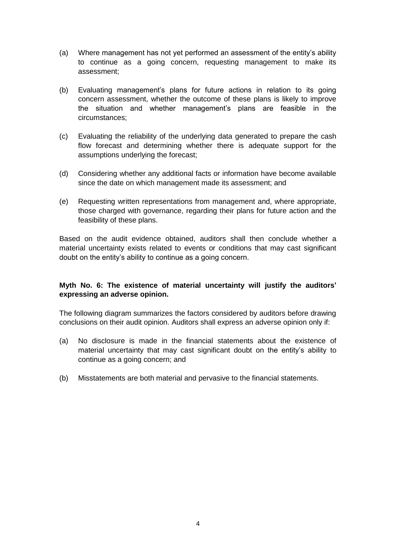- (a) Where management has not yet performed an assessment of the entity's ability to continue as a going concern, requesting management to make its assessment;
- (b) Evaluating management's plans for future actions in relation to its going concern assessment, whether the outcome of these plans is likely to improve the situation and whether management's plans are feasible in the circumstances;
- (c) Evaluating the reliability of the underlying data generated to prepare the cash flow forecast and determining whether there is adequate support for the assumptions underlying the forecast;
- (d) Considering whether any additional facts or information have become available since the date on which management made its assessment; and
- (e) Requesting written representations from management and, where appropriate, those charged with governance, regarding their plans for future action and the feasibility of these plans.

Based on the audit evidence obtained, auditors shall then conclude whether a material uncertainty exists related to events or conditions that may cast significant doubt on the entity's ability to continue as a going concern.

# **Myth No. 6: The existence of material uncertainty will justify the auditors' expressing an adverse opinion.**

The following diagram summarizes the factors considered by auditors before drawing conclusions on their audit opinion. Auditors shall express an adverse opinion only if:

- (a) No disclosure is made in the financial statements about the existence of material uncertainty that may cast significant doubt on the entity's ability to continue as a going concern; and
- (b) Misstatements are both material and pervasive to the financial statements.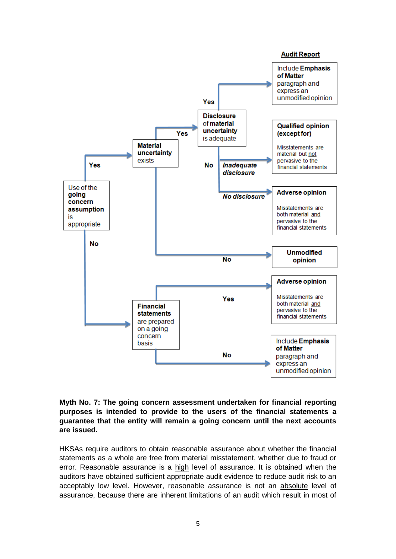

## **Myth No. 7: The going concern assessment undertaken for financial reporting purposes is intended to provide to the users of the financial statements a guarantee that the entity will remain a going concern until the next accounts are issued.**

HKSAs require auditors to obtain reasonable assurance about whether the financial statements as a whole are free from material misstatement, whether due to fraud or error. Reasonable assurance is a high level of assurance. It is obtained when the auditors have obtained sufficient appropriate audit evidence to reduce audit risk to an acceptably low level. However, reasonable assurance is not an absolute level of assurance, because there are inherent limitations of an audit which result in most of